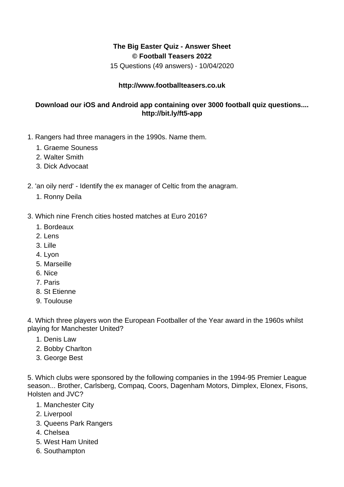## **The Big Easter Quiz - Answer Sheet © Football Teasers 2022**

15 Questions (49 answers) - 10/04/2020

## **http://www.footballteasers.co.uk**

## **Download our iOS and Android app containing over 3000 football quiz questions.... http://bit.ly/ft5-app**

- 1. Rangers had three managers in the 1990s. Name them.
	- 1. Graeme Souness
	- 2. Walter Smith
	- 3. Dick Advocaat
- 2. 'an oily nerd' Identify the ex manager of Celtic from the anagram.
	- 1. Ronny Deila
- 3. Which nine French cities hosted matches at Euro 2016?
	- 1. Bordeaux
	- 2. Lens
	- 3. Lille
	- 4. Lyon
	- 5. Marseille
	- 6. Nice
	- 7. Paris
	- 8. St Etienne
	- 9. Toulouse

4. Which three players won the European Footballer of the Year award in the 1960s whilst playing for Manchester United?

- 1. Denis Law
- 2. Bobby Charlton
- 3. George Best

5. Which clubs were sponsored by the following companies in the 1994-95 Premier League season... Brother, Carlsberg, Compaq, Coors, Dagenham Motors, Dimplex, Elonex, Fisons, Holsten and JVC?

- 1. Manchester City
- 2. Liverpool
- 3. Queens Park Rangers
- 4. Chelsea
- 5. West Ham United
- 6. Southampton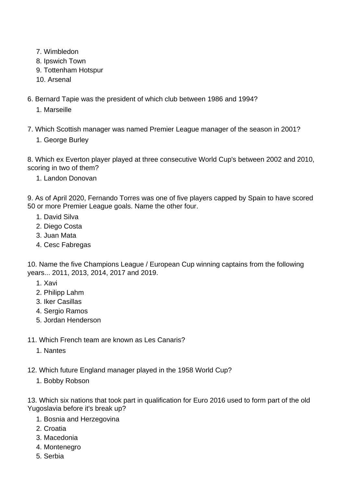- 7. Wimbledon
- 8. Ipswich Town
- 9. Tottenham Hotspur
- 10. Arsenal
- 6. Bernard Tapie was the president of which club between 1986 and 1994?
	- 1. Marseille
- 7. Which Scottish manager was named Premier League manager of the season in 2001?
	- 1. George Burley

8. Which ex Everton player played at three consecutive World Cup's between 2002 and 2010, scoring in two of them?

1. Landon Donovan

9. As of April 2020, Fernando Torres was one of five players capped by Spain to have scored 50 or more Premier League goals. Name the other four.

- 1. David Silva
- 2. Diego Costa
- 3. Juan Mata
- 4. Cesc Fabregas

10. Name the five Champions League / European Cup winning captains from the following years... 2011, 2013, 2014, 2017 and 2019.

- 1. Xavi
- 2. Philipp Lahm
- 3. Iker Casillas
- 4. Sergio Ramos
- 5. Jordan Henderson
- 11. Which French team are known as Les Canaris?
	- 1. Nantes
- 12. Which future England manager played in the 1958 World Cup?
	- 1. Bobby Robson

13. Which six nations that took part in qualification for Euro 2016 used to form part of the old Yugoslavia before it's break up?

- 1. Bosnia and Herzegovina
- 2. Croatia
- 3. Macedonia
- 4. Montenegro
- 5. Serbia